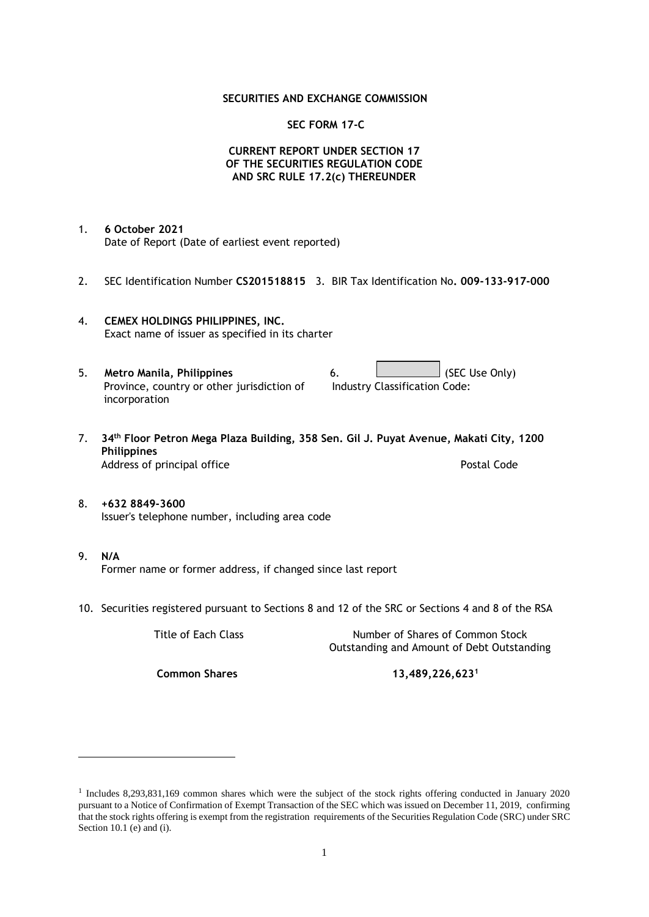### **SECURITIES AND EXCHANGE COMMISSION**

### **SEC FORM 17-C**

## **CURRENT REPORT UNDER SECTION 17 OF THE SECURITIES REGULATION CODE AND SRC RULE 17.2(c) THEREUNDER**

- 1. **6 October 2021** Date of Report (Date of earliest event reported)
- 2. SEC Identification Number **CS201518815** 3. BIR Tax Identification No**. 009-133-917-000**
- 4. **CEMEX HOLDINGS PHILIPPINES, INC.** Exact name of issuer as specified in its charter
- 5. **Metro Manila, Philippines** 6. **Consumers 6.** (SEC Use Only) Province, country or other jurisdiction of incorporation Industry Classification Code:
- 7. **34th Floor Petron Mega Plaza Building, 358 Sen. Gil J. Puyat Avenue, Makati City, 1200 Philippines** Address of principal office **Postal Code** Postal Code
- 8. **+632 8849-3600** Issuer's telephone number, including area code
- 9. **N/A** Former name or former address, if changed since last report
- 10. Securities registered pursuant to Sections 8 and 12 of the SRC or Sections 4 and 8 of the RSA

Title of Each Class Number of Shares of Common Stock Outstanding and Amount of Debt Outstanding

**Common Shares 13,489,226,623<sup>1</sup>**

<sup>1</sup> Includes 8,293,831,169 common shares which were the subject of the stock rights offering conducted in January 2020 pursuant to a Notice of Confirmation of Exempt Transaction of the SEC which was issued on December 11, 2019, confirming that the stock rights offering is exempt from the registration requirements of the Securities Regulation Code (SRC) under SRC Section 10.1 (e) and (i).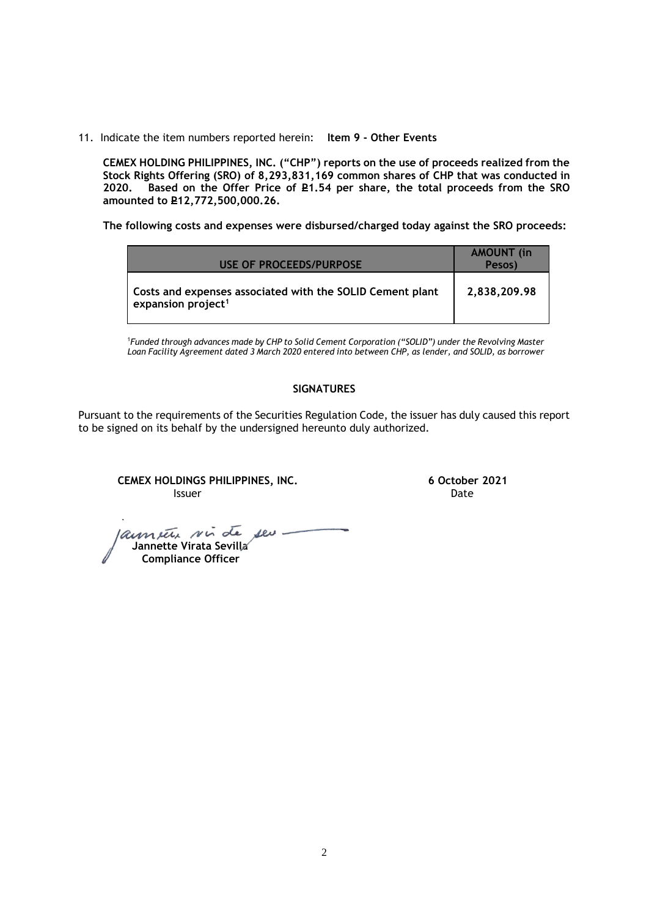11. Indicate the item numbers reported herein: **Item 9 - Other Events**

**CEMEX HOLDING PHILIPPINES, INC. ("CHP") reports on the use of proceeds realized from the Stock Rights Offering (SRO) of 8,293,831,169 common shares of CHP that was conducted in**  Based on the Offer Price of £1.54 per share, the total proceeds from the SRO **amounted to P12,772,500,000.26.** 

**The following costs and expenses were disbursed/charged today against the SRO proceeds:**

| USE OF PROCEEDS/PURPOSE                                                                     | <b>AMOUNT</b> (in<br>Pesos) |
|---------------------------------------------------------------------------------------------|-----------------------------|
| Costs and expenses associated with the SOLID Cement plant<br>expansion project <sup>1</sup> | 2,838,209.98                |

<sup>1</sup>*Funded through advances made by CHP to Solid Cement Corporation ("SOLID") under the Revolving Master Loan Facility Agreement dated 3 March 2020 entered into between CHP, as lender, and SOLID, as borrower*

## **SIGNATURES**

Pursuant to the requirements of the Securities Regulation Code, the issuer has duly caused this report to be signed on its behalf by the undersigned hereunto duly authorized.

**CEMEX HOLDINGS PHILIPPINES, INC. 6 October 2021 Issuer Date of the Community of the Community Community Community Community Community Community Community Community** 

launete sui de seu- **Jannette Virata Sevilla Compliance Officer**